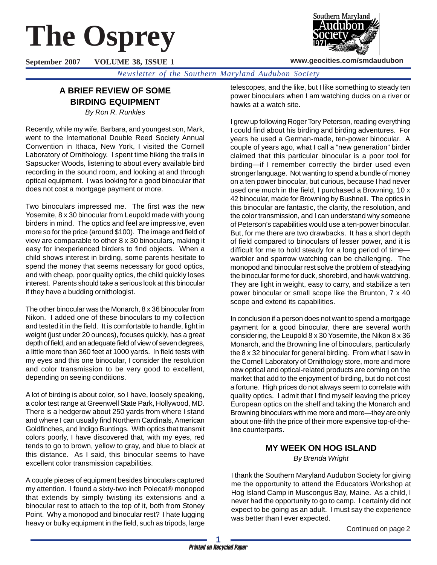# **The Osprey**

**September 2007 VOLUME 38, ISSUE 1**



**www.geocities.com/smdaudubon**

# **A BRIEF REVIEW OF SOME BIRDING EQUIPMENT**

*By Ron R. Runkles*

Recently, while my wife, Barbara, and youngest son, Mark, went to the International Double Reed Society Annual Convention in Ithaca, New York, I visited the Cornell Laboratory of Ornithology. I spent time hiking the trails in Sapsucker Woods, listening to about every available bird recording in the sound room, and looking at and through optical equipment. I was looking for a good binocular that does not cost a mortgage payment or more.

Two binoculars impressed me. The first was the new Yosemite, 8 x 30 binocular from Leupold made with young birders in mind. The optics and feel are impressive, even more so for the price (around \$100). The image and field of view are comparable to other 8 x 30 binoculars, making it easy for inexperienced birders to find objects. When a child shows interest in birding, some parents hesitate to spend the money that seems necessary for good optics, and with cheap, poor quality optics, the child quickly loses interest. Parents should take a serious look at this binocular if they have a budding ornithologist.

The other binocular was the Monarch, 8 x 36 binocular from Nikon. I added one of these binoculars to my collection and tested it in the field. It is comfortable to handle, light in weight (just under 20 ounces), focuses quickly, has a great depth of field, and an adequate field of view of seven degrees, a little more than 360 feet at 1000 yards. In field tests with my eyes and this one binocular, I consider the resolution and color transmission to be very good to excellent, depending on seeing conditions.

A lot of birding is about color, so I have, loosely speaking, a color test range at Greenwell State Park, Hollywood, MD. There is a hedgerow about 250 yards from where I stand and where I can usually find Northern Cardinals, American Goldfinches, and Indigo Buntings. With optics that transmit colors poorly, I have discovered that, with my eyes, red tends to go to brown, yellow to gray, and blue to black at this distance. As I said, this binocular seems to have excellent color transmission capabilities.

A couple pieces of equipment besides binoculars captured my attention. I found a sixty-two inch Polecat® monopod that extends by simply twisting its extensions and a binocular rest to attach to the top of it, both from Stoney Point. Why a monopod and binocular rest? I hate lugging heavy or bulky equipment in the field, such as tripods, large telescopes, and the like, but I like something to steady ten power binoculars when I am watching ducks on a river or hawks at a watch site.

I grew up following Roger Tory Peterson, reading everything I could find about his birding and birding adventures. For years he used a German-made, ten-power binocular. A couple of years ago, what I call a "new generation" birder claimed that this particular binocular is a poor tool for birding—if I remember correctly the birder used even stronger language. Not wanting to spend a bundle of money on a ten power binocular, but curious, because I had never used one much in the field, I purchased a Browning, 10 x 42 binocular, made for Browning by Bushnell. The optics in this binocular are fantastic, the clarity, the resolution, and the color transmission, and I can understand why someone of Peterson's capabilities would use a ten-power binocular. But, for me there are two drawbacks. It has a short depth of field compared to binoculars of lesser power, and it is difficult for me to hold steady for a long period of time warbler and sparrow watching can be challenging. The monopod and binocular rest solve the problem of steadying the binocular for me for duck, shorebird, and hawk watching. They are light in weight, easy to carry, and stabilize a ten power binocular or small scope like the Brunton, 7 x 40 scope and extend its capabilities.

In conclusion if a person does not want to spend a mortgage payment for a good binocular, there are several worth considering, the Leupold 8 x 30 Yosemite, the Nikon 8 x 36 Monarch, and the Browning line of binoculars, particularly the 8 x 32 binocular for general birding. From what I saw in the Cornell Laboratory of Ornithology store, more and more new optical and optical-related products are coming on the market that add to the enjoyment of birding, but do not cost a fortune. High prices do not always seem to correlate with quality optics. I admit that I find myself leaving the pricey European optics on the shelf and taking the Monarch and Browning binoculars with me more and more—they are only about one-fifth the price of their more expensive top-of-theline counterparts.

# **MY WEEK ON HOG ISLAND**

*By Brenda Wright*

I thank the Southern Maryland Audubon Society for giving me the opportunity to attend the Educators Workshop at Hog Island Camp in Muscongus Bay, Maine. As a child, I never had the opportunity to go to camp. I certainly did not expect to be going as an adult. I must say the experience was better than I ever expected.

Continued on page 2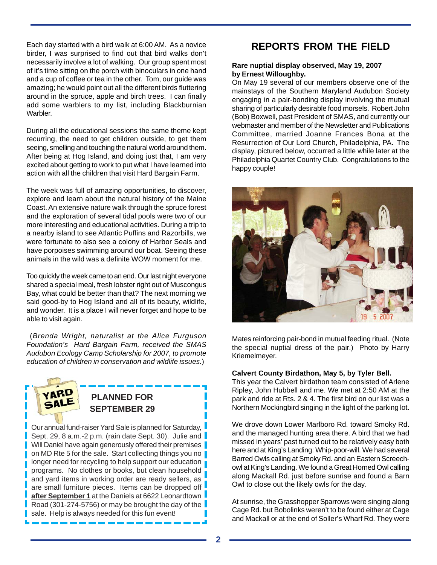Each day started with a bird walk at 6:00 AM. As a novice birder, I was surprised to find out that bird walks don't necessarily involve a lot of walking. Our group spent most of it's time sitting on the porch with binoculars in one hand and a cup of coffee or tea in the other. Tom, our guide was amazing; he would point out all the different birds fluttering around in the spruce, apple and birch trees. I can finally add some warblers to my list, including Blackburnian Warbler.

During all the educational sessions the same theme kept recurring, the need to get children outside, to get them seeing, smelling and touching the natural world around them. After being at Hog Island, and doing just that, I am very excited about getting to work to put what I have learned into action with all the children that visit Hard Bargain Farm.

The week was full of amazing opportunities, to discover, explore and learn about the natural history of the Maine Coast. An extensive nature walk through the spruce forest and the exploration of several tidal pools were two of our more interesting and educational activities. During a trip to a nearby island to see Atlantic Puffins and Razorbills, we were fortunate to also see a colony of Harbor Seals and have porpoises swimming around our boat. Seeing these animals in the wild was a definite WOW moment for me.

Too quickly the week came to an end. Our last night everyone shared a special meal, fresh lobster right out of Muscongus Bay, what could be better than that? The next morning we said good-by to Hog Island and all of its beauty, wildlife, and wonder. It is a place I will never forget and hope to be able to visit again.

 (*Brenda Wright, naturalist at the Alice Furguson Foundation's Hard Bargain Farm, received the SMAS Audubon Ecology Camp Scholarship for 2007, to promote education of children in conservation and wildlife issues.*)

# **PLANNED FOR SEPTEMBER 29**

Our annual fund-raiser Yard Sale is planned for Saturday, Sept. 29, 8 a.m.-2 p.m. (rain date Sept. 30). Julie and Will Daniel have again generously offered their premises on MD Rte 5 for the sale. Start collecting things you no longer need for recycling to help support our education programs. No clothes or books, but clean household and yard items in working order are ready sellers, as are small furniture pieces. Items can be dropped off **after September 1** at the Daniels at 6622 Leonardtown Road (301-274-5756) or may be brought the day of the sale. Help is always needed for this fun event!

# **REPORTS FROM THE FIELD**

#### **Rare nuptial display observed, May 19, 2007 by Ernest Willoughby.**

On May 19 several of our members observe one of the mainstays of the Southern Maryland Audubon Society engaging in a pair-bonding display involving the mutual sharing of particularly desirable food morsels. Robert John (Bob) Boxwell, past President of SMAS, and currently our webmaster and member of the Newsletter and Publications Committee, married Joanne Frances Bona at the Resurrection of Our Lord Church, Philadelphia, PA. The display, pictured below, occurred a little while later at the Philadelphia Quartet Country Club. Congratulations to the happy couple!



Mates reinforcing pair-bond in mutual feeding ritual. (Note the special nuptial dress of the pair.) Photo by Harry Kriemelmeyer.

#### **Calvert County Birdathon, May 5, by Tyler Bell.**

This year the Calvert birdathon team consisted of Arlene Ripley, John Hubbell and me. We met at 2:50 AM at the park and ride at Rts. 2 & 4. The first bird on our list was a Northern Mockingbird singing in the light of the parking lot.

We drove down Lower Marlboro Rd. toward Smoky Rd. and the managed hunting area there. A bird that we had missed in years' past turned out to be relatively easy both here and at King's Landing: Whip-poor-will. We had several Barred Owls calling at Smoky Rd. and an Eastern Screechowl at King's Landing. We found a Great Horned Owl calling along Mackall Rd. just before sunrise and found a Barn Owl to close out the likely owls for the day.

At sunrise, the Grasshopper Sparrows were singing along Cage Rd. but Bobolinks weren't to be found either at Cage and Mackall or at the end of Soller's Wharf Rd. They were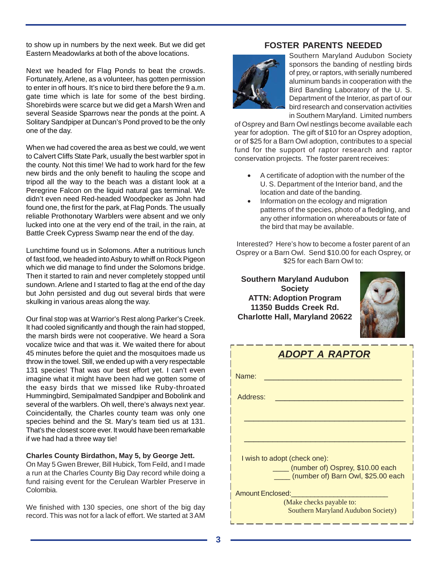to show up in numbers by the next week. But we did get Eastern Meadowlarks at both of the above locations.

Next we headed for Flag Ponds to beat the crowds. Fortunately, Arlene, as a volunteer, has gotten permission to enter in off hours. It's nice to bird there before the 9 a.m. gate time which is late for some of the best birding. Shorebirds were scarce but we did get a Marsh Wren and several Seaside Sparrows near the ponds at the point. A Solitary Sandpiper at Duncan's Pond proved to be the only one of the day.

When we had covered the area as best we could, we went to Calvert Cliffs State Park, usually the best warbler spot in the county. Not this time! We had to work hard for the few new birds and the only benefit to hauling the scope and tripod all the way to the beach was a distant look at a Peregrine Falcon on the liquid natural gas terminal. We didn't even need Red-headed Woodpecker as John had found one, the first for the park, at Flag Ponds. The usually reliable Prothonotary Warblers were absent and we only lucked into one at the very end of the trail, in the rain, at Battle Creek Cypress Swamp near the end of the day.

Lunchtime found us in Solomons. After a nutritious lunch of fast food, we headed into Asbury to whiff on Rock Pigeon which we did manage to find under the Solomons bridge. Then it started to rain and never completely stopped until sundown. Arlene and I started to flag at the end of the day but John persisted and dug out several birds that were skulking in various areas along the way.

Our final stop was at Warrior's Rest along Parker's Creek. It had cooled significantly and though the rain had stopped, the marsh birds were not cooperative. We heard a Sora vocalize twice and that was it. We waited there for about 45 minutes before the quiet and the mosquitoes made us throw in the towel. Still, we ended up with a very respectable 131 species! That was our best effort yet. I can't even imagine what it might have been had we gotten some of the easy birds that we missed like Ruby-throated Hummingbird, Semipalmated Sandpiper and Bobolink and several of the warblers. Oh well, there's always next year. Coincidentally, the Charles county team was only one species behind and the St. Mary's team tied us at 131. That's the closest score ever. It would have been remarkable if we had had a three way tie!

#### **Charles County Birdathon, May 5, by George Jett.**

On May 5 Gwen Brewer, Bill Hubick, Tom Feild, and I made a run at the Charles County Big Day record while doing a fund raising event for the Cerulean Warbler Preserve in Colombia.

We finished with 130 species, one short of the big day record. This was not for a lack of effort. We started at 3 AM

## **FOSTER PARENTS NEEDED**



Southern Maryland Audubon Society sponsors the banding of nestling birds of prey, or raptors, with serially numbered aluminum bands in cooperation with the Bird Banding Laboratory of the U. S. Department of the Interior, as part of our bird research and conservation activities in Southern Maryland. Limited numbers

of Osprey and Barn Owl nestlings become available each year for adoption. The gift of \$10 for an Osprey adoption, or of \$25 for a Barn Owl adoption, contributes to a special fund for the support of raptor research and raptor conservation projects. The foster parent receives:

- A certificate of adoption with the number of the U. S. Department of the Interior band, and the location and date of the banding.
- Information on the ecology and migration patterns of the species, photo of a fledgling, and any other information on whereabouts or fate of the bird that may be available.

Interested? Here's how to become a foster parent of an Osprey or a Barn Owl. Send \$10.00 for each Osprey, or \$25 for each Barn Owl to:

**Southern Maryland Audubon Society ATTN: Adoption Program 11350 Budds Creek Rd. Charlotte Hall, Maryland 20622**



| <b>ADOPT A RAPTOR</b>                                                  |  |  |  |  |
|------------------------------------------------------------------------|--|--|--|--|
| Name:                                                                  |  |  |  |  |
| Address:                                                               |  |  |  |  |
|                                                                        |  |  |  |  |
|                                                                        |  |  |  |  |
| I wish to adopt (check one):                                           |  |  |  |  |
| (number of) Osprey, \$10.00 each<br>(number of) Barn Owl, \$25.00 each |  |  |  |  |
| <b>Amount Enclosed:</b>                                                |  |  |  |  |
| (Make checks payable to:                                               |  |  |  |  |
| <b>Southern Maryland Audubon Society)</b>                              |  |  |  |  |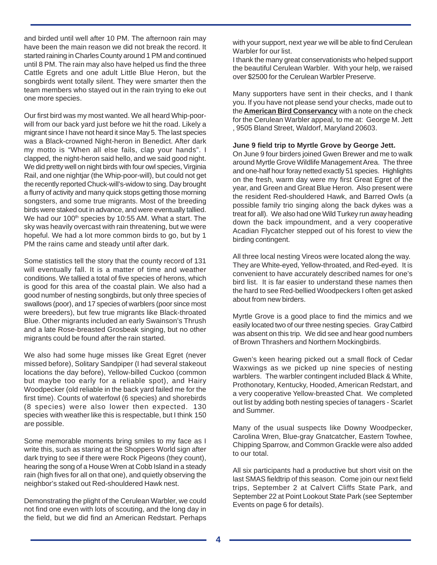and birded until well after 10 PM. The afternoon rain may have been the main reason we did not break the record. It started raining in Charles County around 1 PM and continued until 8 PM. The rain may also have helped us find the three Cattle Egrets and one adult Little Blue Heron, but the songbirds went totally silent. They were smarter then the team members who stayed out in the rain trying to eke out one more species.

Our first bird was my most wanted. We all heard Whip-poorwill from our back yard just before we hit the road. Likely a migrant since I have not heard it since May 5. The last species was a Black-crowned Night-heron in Benedict. After dark my motto is "When all else fails, clap your hands". I clapped, the night-heron said hello, and we said good night. We did pretty well on night birds with four owl species, Virginia Rail, and one nightjar (the Whip-poor-will), but could not get the recently reported Chuck-will's-widow to sing. Day brought a flurry of activity and many quick stops getting those morning songsters, and some true migrants. Most of the breeding birds were staked out in advance, and were eventually tallied. We had our 100<sup>th</sup> species by 10:55 AM. What a start. The sky was heavily overcast with rain threatening, but we were hopeful. We had a lot more common birds to go, but by 1 PM the rains came and steady until after dark.

Some statistics tell the story that the county record of 131 will eventually fall. It is a matter of time and weather conditions. We tallied a total of five species of herons, which is good for this area of the coastal plain. We also had a good number of nesting songbirds, but only three species of swallows (poor), and 17 species of warblers (poor since most were breeders), but few true migrants like Black-throated Blue. Other migrants included an early Swainson's Thrush and a late Rose-breasted Grosbeak singing, but no other migrants could be found after the rain started.

We also had some huge misses like Great Egret (never missed before), Solitary Sandpiper (I had several stakeout locations the day before), Yellow-billed Cuckoo (common but maybe too early for a reliable spot), and Hairy Woodpecker (old reliable in the back yard failed me for the first time). Counts of waterfowl (6 species) and shorebirds (8 species) were also lower then expected. 130 species with weather like this is respectable, but I think 150 are possible.

Some memorable moments bring smiles to my face as I write this, such as staring at the Shoppers World sign after dark trying to see if there were Rock Pigeons (they count), hearing the song of a House Wren at Cobb Island in a steady rain (high fives for all on that one), and quietly observing the neighbor's staked out Red-shouldered Hawk nest.

Demonstrating the plight of the Cerulean Warbler, we could not find one even with lots of scouting, and the long day in the field, but we did find an American Redstart. Perhaps

with your support, next year we will be able to find Cerulean Warbler for our list.

I thank the many great conservationists who helped support the beautiful Cerulean Warbler. With your help, we raised over \$2500 for the Cerulean Warbler Preserve.

Many supporters have sent in their checks, and I thank you. If you have not please send your checks, made out to the **American Bird Conservancy** with a note on the check for the Cerulean Warbler appeal, to me at: George M. Jett , 9505 Bland Street, Waldorf, Maryland 20603.

#### **June 9 field trip to Myrtle Grove by George Jett.**

On June 9 four birders joined Gwen Brewer and me to walk around Myrtle Grove Wildlife Management Area. The three and one-half hour foray netted exactly 51 species. Highlights on the fresh, warm day were my first Great Egret of the year, and Green and Great Blue Heron. Also present were the resident Red-shouldered Hawk, and Barred Owls (a possible family trio singing along the back dykes was a treat for all). We also had one Wild Turkey run away heading down the back impoundment, and a very cooperative Acadian Flycatcher stepped out of his forest to view the birding contingent.

All three local nesting Vireos were located along the way. They are White-eyed, Yellow-throated, and Red-eyed. It is convenient to have accurately described names for one's bird list. It is far easier to understand these names then the hard to see Red-bellied Woodpeckers I often get asked about from new birders.

Myrtle Grove is a good place to find the mimics and we easily located two of our three nesting species. Gray Catbird was absent on this trip. We did see and hear good numbers of Brown Thrashers and Northern Mockingbirds.

Gwen's keen hearing picked out a small flock of Cedar Waxwings as we picked up nine species of nesting warblers. The warbler contingent included Black & White, Prothonotary, Kentucky, Hooded, American Redstart, and a very cooperative Yellow-breasted Chat. We completed out list by adding both nesting species of tanagers - Scarlet and Summer.

Many of the usual suspects like Downy Woodpecker, Carolina Wren, Blue-gray Gnatcatcher, Eastern Towhee, Chipping Sparrow, and Common Grackle were also added to our total.

All six participants had a productive but short visit on the last SMAS fieldtrip of this season. Come join our next field trips, September 2 at Calvert Cliffs State Park, and September 22 at Point Lookout State Park (see September Events on page 6 for details).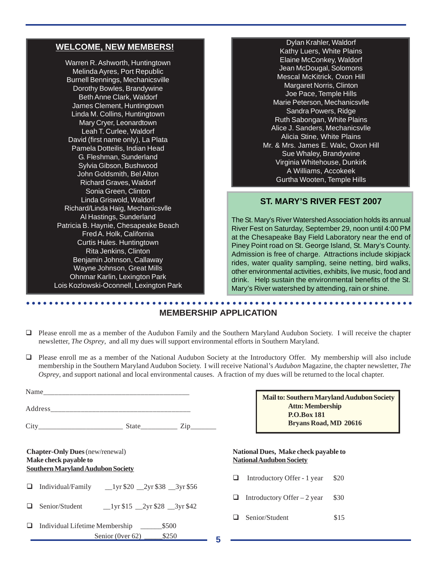## **WELCOME, NEW MEMBERS!**

James Clement, Huntingtown Warren R. Ashworth, Huntingtown Melinda Ayres, Port Republic Burnell Bennings, Mechanicsville Dorothy Bowles, Brandywine Beth Anne Clark, Waldorf Linda M. Collins, Huntingtown Mary Cryer, Leonardtown Leah T. Curlee, Waldorf David (first name only), La Plata Pamela Dotteilis, Indian Head G. Fleshman, Sunderland Sylvia Gibson, Bushwood John Goldsmith, Bel Alton Richard Graves, Waldorf Sonia Green, Clinton Linda Griswold, Waldorf Richard/Linda Haig, Mechanicsvlle Al Hastings, Sunderland Patricia B. Haynie, Chesapeake Beach Fred A. Holk, California Curtis Hules. Huntingtown Rita Jenkins, Clinton Benjamin Johnson, Callaway Wayne Johnson, Great Mills Ohnmar Karlin, Lexington Park Lois Kozlowski-Oconnell, Lexington Park

Dylan Krahler, Waldorf Kathy Luers, White Plains Elaine McConkey, Waldorf Jean McDougal, Solomons Mescal McKitrick, Oxon Hill Margaret Norris, Clinton Joe Pace, Temple Hills Marie Peterson, Mechanicsvlle Sandra Powers, Ridge Ruth Sabongan, White Plains Alice J. Sanders, Mechanicsvlle Alicia Stine, White Plains Mr. & Mrs. James E. Walc, Oxon Hill Sue Whaley, Brandywine Virginia Whitehouse, Dunkirk A Williams, Accokeek Gurtha Wooten, Temple Hills

### **ST. MARY'S RIVER FEST 2007**

The St. Mary's River Watershed Association holds its annual River Fest on Saturday, September 29, noon until 4:00 PM at the Chesapeake Bay Field Laboratory near the end of Piney Point road on St. George Island, St. Mary's County. Admission is free of charge. Attractions include skipjack rides, water quality sampling, seine netting, bird walks, other environmental activities, exhibits, live music, food and drink. Help sustain the environmental benefits of the St. Mary's River watershed by attending, rain or shine.

#### ○○○○○○○○○○○○○○○○○○○○○○○○○○○○○○○○○○○○○○○○○○○○ ○○○○○○○○○○○○○○○○○○○○○○○○ **MEMBERSHIP APPLICATION**

- Please enroll me as a member of the Audubon Family and the Southern Maryland Audubon Society. I will receive the chapter newsletter, *The Osprey*, and all my dues will support environmental efforts in Southern Maryland.
- Please enroll me as a member of the National Audubon Society at the Introductory Offer. My membership will also include membership in the Southern Maryland Audubon Society. I will receive National's *Audubon* Magazine, the chapter newsletter, *The Osprey*, and support national and local environmental causes. A fraction of my dues will be returned to the local chapter.

| <b>Chapter-Only Dues</b> (new/renewal)<br>Make check payable to<br><b>Southern Maryland Audubon Society</b> |   | <b>National D</b><br><b>National A</b> |
|-------------------------------------------------------------------------------------------------------------|---|----------------------------------------|
| Individual/Family _______ 1yr \$20 _____ 2yr \$38 ____ 3yr \$56                                             | П | Introd                                 |
| Senior/Student 1yr \$15 2yr \$28 3yr \$42                                                                   | п | Introd                                 |
|                                                                                                             | П | Senior                                 |
| 5                                                                                                           |   |                                        |

**Mail to: Southern Maryland Audubon Society Attn: Membership P.O.Box 181 Bryans Road, MD 20616**

**National Dues, Make check payable to National Audubon Society**

 $luctory$  Offer - 1 year  $$20$ uctory Offer – 2 year  $$30$  $\sqrt{\text{Student}}$  \$15